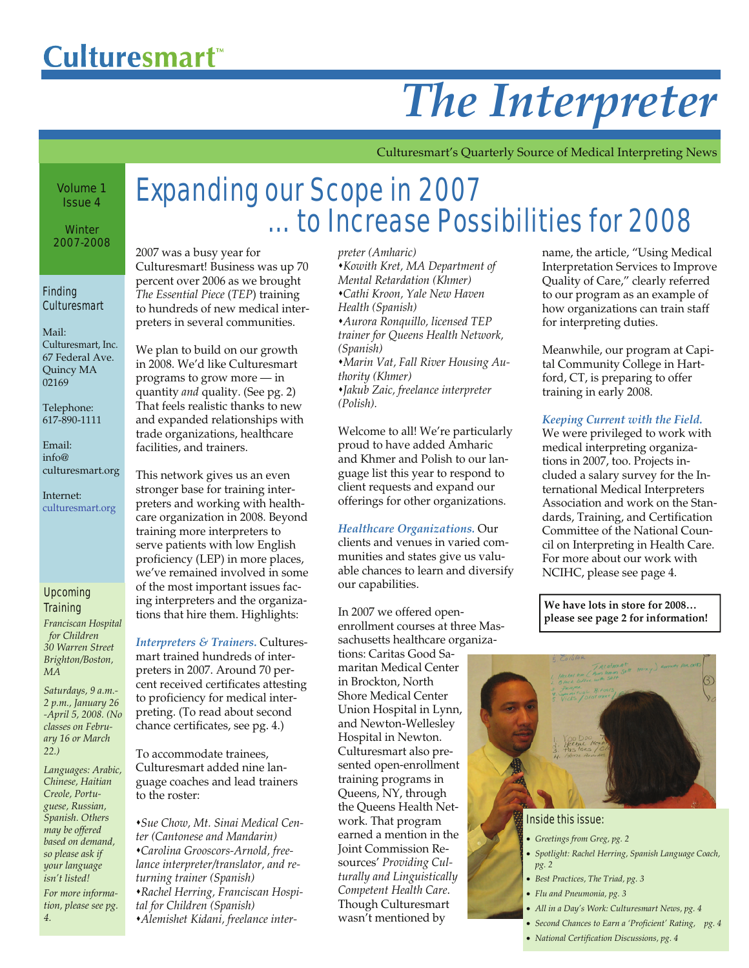# *The Interpreter*

Culturesmart's Quarterly Source of Medical Interpreting News

#### Volume 1 Issue 4

**Winter** 2007-2008

#### Finding **Culturesmart**

Mail: Culturesmart, Inc. 67 Federal Ave. Quincy MA 02169

Telephone: 617-890-1111

Email:  $in$ fo@ culturesmart.org

Internet: culturesmart.org

#### Upcoming **Training**

*Franciscan Hospital for Children 30 Warren Street Brighton/Boston, MA* 

*Saturdays, 9 a.m.- 2 p.m., January 26 -April 5, 2008. (No classes on February 16 or March 22.)* 

*Languages: Arabic, Chinese, Haitian Creole, Portuguese, Russian, Spanish. Others may be offered based on demand, so please ask if your language isn't listed! For more information, please see pg. 4.* 

# Expanding our Scope in 2007 … to Increase Possibilities for 2008

2007 was a busy year for Culturesmart! Business was up 70 percent over 2006 as we brought *The Essential Piece* (*TEP*) training to hundreds of new medical interpreters in several communities.

We plan to build on our growth in 2008. We'd like Culturesmart programs to grow more — in quantity *and* quality. (See pg. 2) That feels realistic thanks to new and expanded relationships with trade organizations, healthcare facilities, and trainers.

This network gives us an even stronger base for training interpreters and working with healthcare organization in 2008. Beyond training more interpreters to serve patients with low English proficiency (LEP) in more places, we've remained involved in some of the most important issues facing interpreters and the organizations that hire them. Highlights:

*Interpreters & Trainers.* Culturesmart trained hundreds of interpreters in 2007. Around 70 percent received certificates attesting to proficiency for medical interpreting. (To read about second chance certificates, see pg. 4.)

To accommodate trainees, Culturesmart added nine language coaches and lead trainers to the roster:

*Sue Chow, Mt. Sinai Medical Center (Cantonese and Mandarin) Carolina Grooscors-Arnold, freelance interpreter/translator, and returning trainer (Spanish) Rachel Herring, Franciscan Hospital for Children (Spanish) Alemishet Kidani, freelance inter-* *preter (Amharic)* 

*Kowith Kret, MA Department of Mental Retardation (Khmer) Cathi Kroon, Yale New Haven Health (Spanish) Aurora Ronquillo, licensed TEP trainer for Queens Health Network, (Spanish) Marin Vat, Fall River Housing Au-*

*thority (Khmer) Jakub Zaic, freelance interpreter (Polish).* 

Welcome to all! We're particularly proud to have added Amharic and Khmer and Polish to our language list this year to respond to client requests and expand our offerings for other organizations.

*Healthcare Organizations.* Our clients and venues in varied communities and states give us valuable chances to learn and diversify our capabilities.

In 2007 we offered openenrollment courses at three Massachusetts healthcare organizations: Caritas Good Samaritan Medical Center in Brockton, North Shore Medical Center Union Hospital in Lynn, and Newton-Wellesley Hospital in Newton. Culturesmart also presented open-enrollment training programs in Queens, NY, through the Queens Health Network. That program earned a mention in the Joint Commission Resources' *Providing Culturally and Linguistically Competent Health Care*. Though Culturesmart wasn't mentioned by

name, the article, "Using Medical Interpretation Services to Improve Quality of Care," clearly referred to our program as an example of how organizations can train staff for interpreting duties.

Meanwhile, our program at Capital Community College in Hartford, CT, is preparing to offer training in early 2008.

*Keeping Current with the Field.*

We were privileged to work with medical interpreting organizations in 2007, too. Projects included a salary survey for the International Medical Interpreters Association and work on the Standards, Training, and Certification Committee of the National Council on Interpreting in Health Care. For more about our work with NCIHC, please see page 4.

**We have lots in store for 2008… please see page 2 for information!**



#### Inside this issue:

- *Greetings from Greg, pg. 2*
- *Spotlight: Rachel Herring, Spanish Language Coach, pg. 2*
- *Best Practices, The Triad, pg. 3*
- *Flu and Pneumonia, pg. 3*
- *All in a Day's Work: Culturesmart News, pg. 4*
- *Second Chances to Earn a 'Proficient' Rating, pg. 4*
- *National Certification Discussions, pg. 4*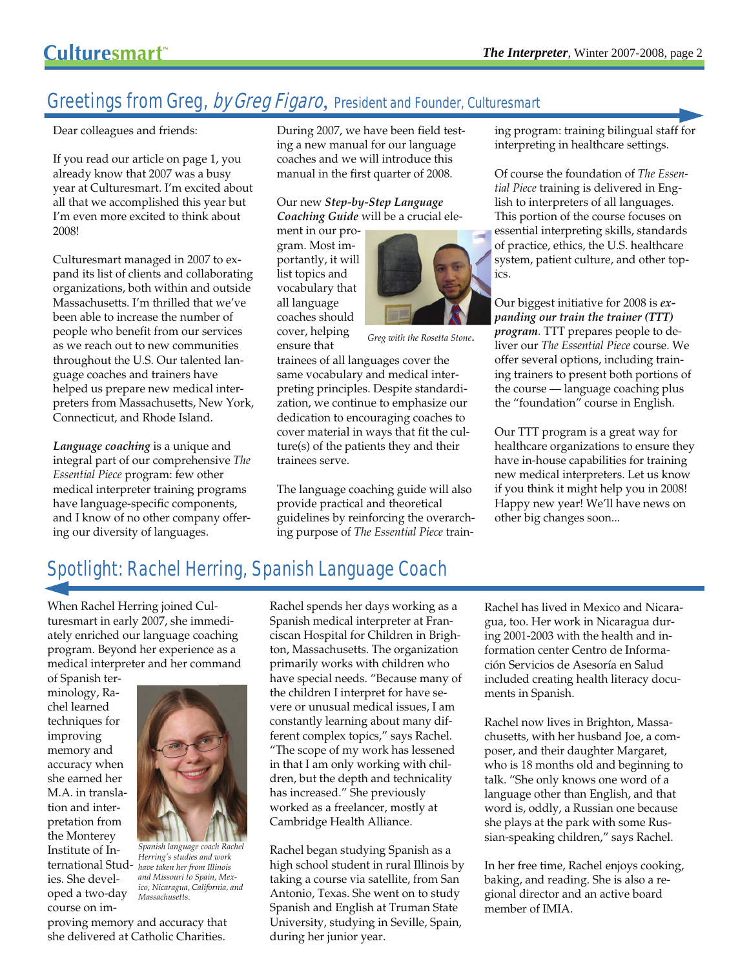# Greetings from Greg, by Greg Figaro, President and Founder, Culturesmart

Dear colleagues and friends:

If you read our article on page 1, you already know that 2007 was a busy year at Culturesmart. I'm excited about all that we accomplished this year but I'm even more excited to think about 2008!

Culturesmart managed in 2007 to expand its list of clients and collaborating organizations, both within and outside Massachusetts. I'm thrilled that we've been able to increase the number of people who benefit from our services as we reach out to new communities throughout the U.S. Our talented language coaches and trainers have helped us prepare new medical interpreters from Massachusetts, New York, Connecticut, and Rhode Island.

*Language coaching* is a unique and integral part of our comprehensive *The Essential Piece* program: few other medical interpreter training programs have language-specific components, and I know of no other company offering our diversity of languages.

During 2007, we have been field testing a new manual for our language coaches and we will introduce this manual in the first quarter of 2008.

Our new *Step-by-Step Language Coaching Guide* will be a crucial ele-

ment in our program. Most importantly, it will list topics and vocabulary that all language coaches should cover, helping ensure that



*Greg with the Rosetta Stone*.

trainees of all languages cover the same vocabulary and medical interpreting principles. Despite standardization, we continue to emphasize our dedication to encouraging coaches to cover material in ways that fit the culture(s) of the patients they and their trainees serve.

The language coaching guide will also provide practical and theoretical guidelines by reinforcing the overarching purpose of *The Essential Piece* training program: training bilingual staff for interpreting in healthcare settings.

Of course the foundation of *The Essential Piece* training is delivered in English to interpreters of all languages. This portion of the course focuses on essential interpreting skills, standards of practice, ethics, the U.S. healthcare system, patient culture, and other topics.

Our biggest initiative for 2008 is *expanding our train the trainer (TTT) program.* TTT prepares people to deliver our *The Essential Piece* course. We offer several options, including training trainers to present both portions of the course — language coaching plus the "foundation" course in English.

Our TTT program is a great way for healthcare organizations to ensure they have in-house capabilities for training new medical interpreters. Let us know if you think it might help you in 2008! Happy new year! We'll have news on other big changes soon...

# Spotlight: Rachel Herring, Spanish Language Coach

When Rachel Herring joined Culturesmart in early 2007, she immediately enriched our language coaching program. Beyond her experience as a medical interpreter and her command

of Spanish terminology, Rachel learned techniques for improving memory and accuracy when she earned her M.A. in translation and interpretation from the Monterey Institute of International Studies. She developed a two-day course on im-



*Spanish language coach Rachel Herring's studies and work have taken her from Illinois and Missouri to Spain, Mexico, Nicaragua, California, and Massachusetts.* 

proving memory and accuracy that she delivered at Catholic Charities.

Rachel spends her days working as a Spanish medical interpreter at Franciscan Hospital for Children in Brighton, Massachusetts. The organization primarily works with children who have special needs. "Because many of the children I interpret for have severe or unusual medical issues, I am constantly learning about many different complex topics," says Rachel. "The scope of my work has lessened in that I am only working with children, but the depth and technicality has increased." She previously worked as a freelancer, mostly at Cambridge Health Alliance.

Rachel began studying Spanish as a high school student in rural Illinois by taking a course via satellite, from San Antonio, Texas. She went on to study Spanish and English at Truman State University, studying in Seville, Spain, during her junior year.

Rachel has lived in Mexico and Nicaragua, too. Her work in Nicaragua during 2001-2003 with the health and information center Centro de Información Servicios de Asesoría en Salud included creating health literacy documents in Spanish.

Rachel now lives in Brighton, Massachusetts, with her husband Joe, a composer, and their daughter Margaret, who is 18 months old and beginning to talk. "She only knows one word of a language other than English, and that word is, oddly, a Russian one because she plays at the park with some Russian-speaking children," says Rachel.

In her free time, Rachel enjoys cooking, baking, and reading. She is also a regional director and an active board member of IMIA.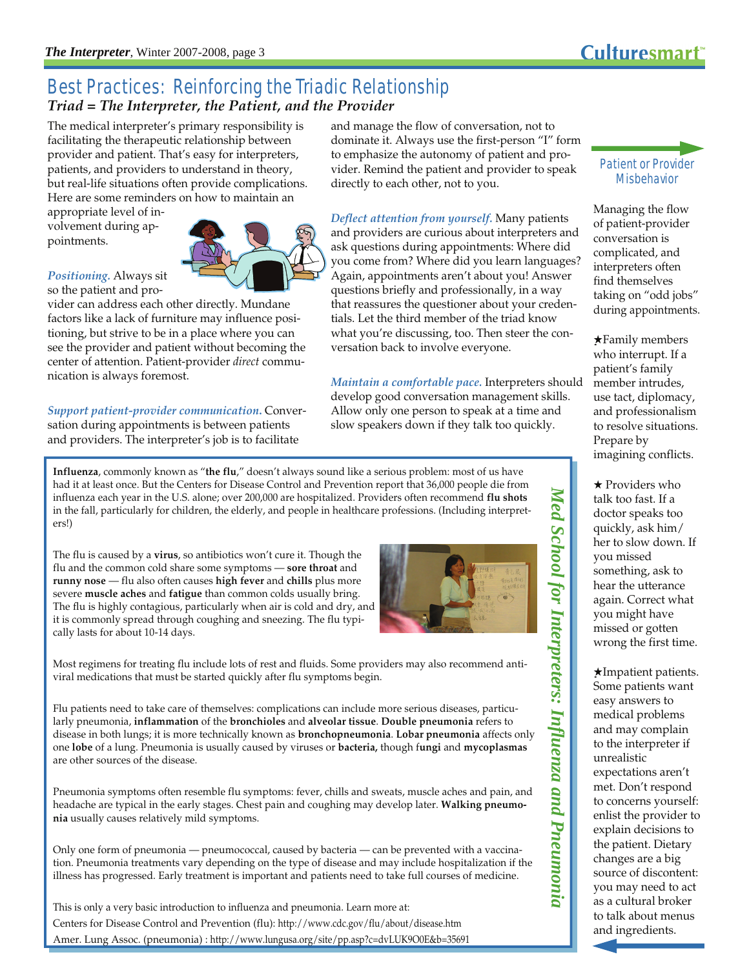### Best Practices: Reinforcing the Triadic Relationship *Triad = The Interpreter, the Patient, and the Provider*

The medical interpreter's primary responsibility is facilitating the therapeutic relationship between provider and patient. That's easy for interpreters, patients, and providers to understand in theory, but real-life situations often provide complications. Here are some reminders on how to maintain an

appropriate level of involvement during appointments.

#### *Positioning.* Always sit so the patient and pro-

vider can address each other directly. Mundane factors like a lack of furniture may influence positioning, but strive to be in a place where you can see the provider and patient without becoming the center of attention. Patient-provider *direct* communication is always foremost.

*Support patient-provider communication***.** Conversation during appointments is between patients and providers. The interpreter's job is to facilitate

and manage the flow of conversation, not to dominate it. Always use the first-person "I" form to emphasize the autonomy of patient and provider. Remind the patient and provider to speak directly to each other, not to you.

*Deflect attention from yourself.* Many patients and providers are curious about interpreters and ask questions during appointments: Where did you come from? Where did you learn languages? Again, appointments aren't about you! Answer questions briefly and professionally, in a way that reassures the questioner about your credentials. Let the third member of the triad know what you're discussing, too. Then steer the conversation back to involve everyone.

*Maintain a comfortable pace.* Interpreters should develop good conversation management skills. Allow only one person to speak at a time and slow speakers down if they talk too quickly.

**Influenza**, commonly known as "**the flu**," doesn't always sound like a serious problem: most of us have had it at least once. But the Centers for Disease Control and Prevention report that 36,000 people die from influenza each year in the U.S. alone; over 200,000 are hospitalized. Providers often recommend **flu shots** in the fall, particularly for children, the elderly, and people in healthcare professions. (Including interpreters!)

The flu is caused by a **virus**, so antibiotics won't cure it. Though the flu and the common cold share some symptoms — **sore throat** and **runny nose** — flu also often causes **high fever** and **chills** plus more severe **muscle aches** and **fatigue** than common colds usually bring. The flu is highly contagious, particularly when air is cold and dry, and it is commonly spread through coughing and sneezing. The flu typically lasts for about 10-14 days.



Most regimens for treating flu include lots of rest and fluids. Some providers may also recommend antiviral medications that must be started quickly after flu symptoms begin.

Flu patients need to take care of themselves: complications can include more serious diseases, particularly pneumonia, **inflammation** of the **bronchioles** and **alveolar tissue**. **Double pneumonia** refers to disease in both lungs; it is more technically known as **bronchopneumonia**. **Lobar pneumonia** affects only one **lobe** of a lung. Pneumonia is usually caused by viruses or **bacteria,** though f**ungi** and **mycoplasmas** are other sources of the disease.

Pneumonia symptoms often resemble flu symptoms: fever, chills and sweats, muscle aches and pain, and headache are typical in the early stages. Chest pain and coughing may develop later. **Walking pneumonia** usually causes relatively mild symptoms.

Only one form of pneumonia — pneumococcal, caused by bacteria — can be prevented with a vaccination. Pneumonia treatments vary depending on the type of disease and may include hospitalization if the illness has progressed. Early treatment is important and patients need to take full courses of medicine.

This is only a very basic introduction to influenza and pneumonia. Learn more at: Centers for Disease Control and Prevention (flu): http://www.cdc.gov/flu/about/disease.htm Amer. Lung Assoc. (pneumonia) : http://www.lungusa.org/site/pp.asp?c=dvLUK9O0E&b=35691

### Patient or Provider **Misbehavior**

Managing the flow of patient-provider conversation is complicated, and interpreters often find themselves taking on "odd jobs" during appointments.

★Family members who interrupt. If a patient's family member intrudes, use tact, diplomacy, and professionalism to resolve situations. Prepare by imagining conflicts.

★ Providers who talk too fast. If a doctor speaks too quickly, ask him/ her to slow down. If you missed something, ask to hear the utterance again. Correct what you might have missed or gotten wrong the first time.

★Impatient patients. Some patients want easy answers to medical problems and may complain to the interpreter if unrealistic expectations aren't met. Don't respond to concerns yourself: enlist the provider to explain decisions to the patient. Dietary changes are a big source of discontent: you may need to act as a cultural broker to talk about menus and ingredients.